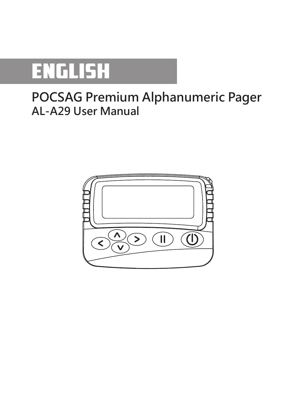

# **POCSAG Premium Alphanumeric Pager AL-A29 User Manual**

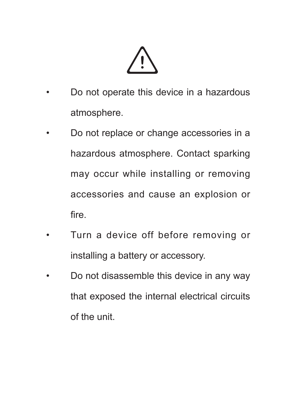- • Do not operate this device in a hazardous atmosphere.
- • Do not replace or change accessories in a hazardous atmosphere. Contact sparking may occur while installing or removing accessories and cause an explosion or fire.
- Turn a device off before removing or installing a battery or accessory.
- • Do not disassemble this device in any way that exposed the internal electrical circuits of the unit.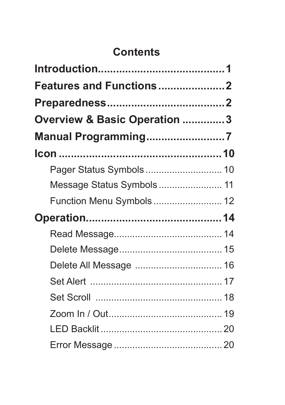# **Contents**

| <b>Features and Functions2</b> |  |
|--------------------------------|--|
|                                |  |
| Overview & Basic Operation 3   |  |
| Manual Programming7            |  |
|                                |  |
|                                |  |
| Message Status Symbols 11      |  |
| Function Menu Symbols 12       |  |
|                                |  |
|                                |  |
|                                |  |
|                                |  |
|                                |  |
|                                |  |
|                                |  |
|                                |  |
|                                |  |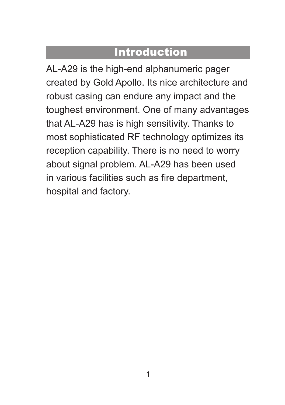## **Introduction**

AL-A29 is the high-end alphanumeric pager created by Gold Apollo. Its nice architecture and robust casing can endure any impact and the toughest environment. One of many advantages that AL-A29 has is high sensitivity. Thanks to most sophisticated RF technology optimizes its reception capability. There is no need to worry about signal problem. AL-A29 has been used in various facilities such as fire department, hospital and factory.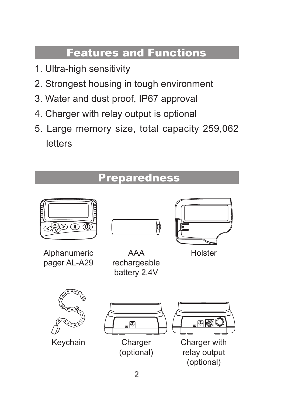# Features and Functions

- 1. Ultra-high sensitivity
- 2. Strongest housing in tough environment
- 3. Water and dust proof, IP67 approval
- 4. Charger with relay output is optional
- 5. Large memory size, total capacity 259,062 letters

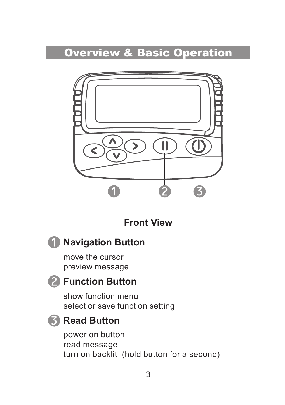

**Front View**



move the cursor preview message

#### **Function Button**

show function menu select or save function setting

#### **Read Button**

power on button read message turn on backlit (hold button for a second)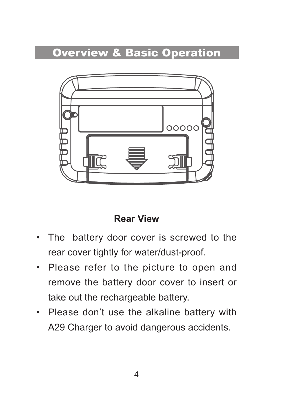

#### **Rear View**

- • The battery door cover is screwed to the rear cover tightly for water/dust-proof.
- Please refer to the picture to open and remove the battery door cover to insert or take out the rechargeable battery.
- • Please don't use the alkaline battery with A29 Charger to avoid dangerous accidents.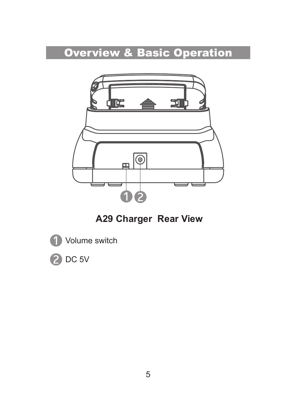

 **A29 Charger Rear View**

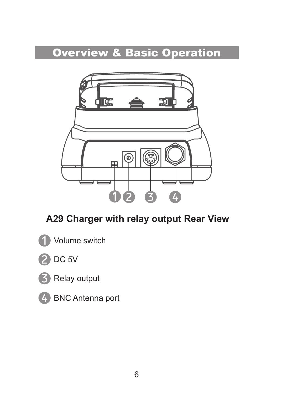

### **A29 Charger with relay output Rear View**







**BNC** Antenna port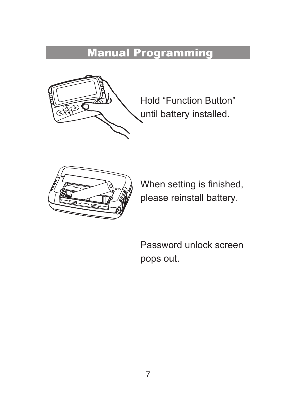# Manual Programming



Hold "Function Button" until battery installed.



When setting is finished, please reinstall battery.

Password unlock screen pops out.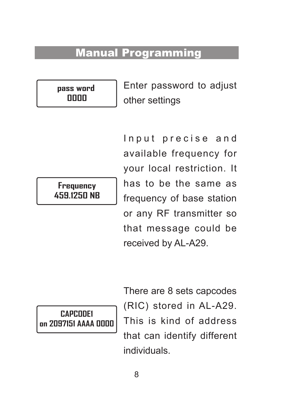## Manual Programming

**pass word 0000**

Enter password to adjust other settings

**Frequency 459.1250 NB** Input precise and available frequency for your local restriction. It has to be the same as frequency of base station or any RF transmitter so that message could be received by AL-A29.

**CAPCODE1 on 2097151 AAAA 0000** There are 8 sets capcodes (RIC) stored in AL-A29. This is kind of address that can identify different individuals.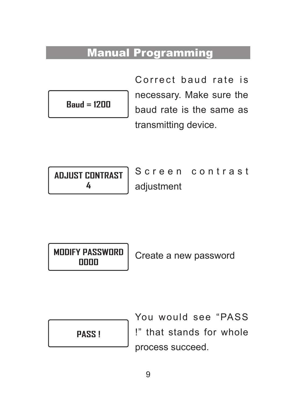### Manual Programming

$$
\mathbf{Baud} = \mathbf{1200}
$$

Correct haud rate is necessary. Make sure the baud rate is the same as transmitting device.

| <b>ADJUST CONTRAST</b> |  |
|------------------------|--|
|                        |  |

Screen contrast adjustment

**MODIFY PASSWORD**

**<sup>0000</sup>** Create <sup>a</sup> new password

You would see "PASS !" that stands for whole process succeed.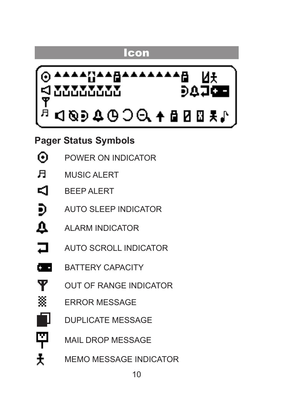### Icon



**Pager Status Symbols**

| ⊙ |  | POWER ON INDICATOR |  |
|---|--|--------------------|--|
|   |  |                    |  |

- $\mathbf{H}$ MUSIC ALERT
- ⊲ BEEP ALERT
- Ð AUTO SLEEP INDICATOR
- $\Delta$ ALARM INDICATOR
- $\Box$ AUTO SCROLL INDICATOR
- c. BATTERY CAPACITY
	- OUT OF RANGE INDICATOR
	- ERROR MESSAGE
		- DUPLICATE MESSAGE
- 휘 Ŧ

ዋ 篸

MAIL DROP MESSAGE

MEMO MESSAGE INDICATOR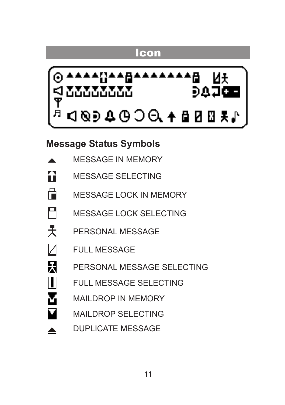### Icon



#### **Message Status Symbols**

- MESSAGE IN MEMORY  $\blacktriangle$
- $\mathbf{r}$ MESSAGE SELECTING
- 骨。 MESSAGE LOCK IN MEMORY
- П MESSAGE LOCK SELECTING
- 士 PERSONAL MESSAGE
- $\sqrt{ }$ FULL MESSAGE

 $\blacksquare$ 

- 民 PERSONAL MESSAGE SELECTING
	- FULL MESSAGE SELECTING
	- MAILDROP IN MEMORY
	- MAILDROP SELECTING
- DUPLICATE MESSAGE ▲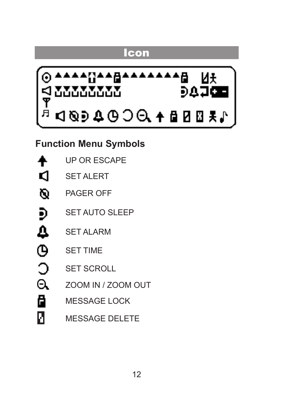### **Icon**



**Function Menu Symbols**

|   | <b>UP OR ESCAPE</b>   |
|---|-----------------------|
| q | <b>SET ALERT</b>      |
| Ø | <b>PAGER OFF</b>      |
| Ð | <b>SET AUTO SLEEP</b> |
| Δ | <b>SET ALARM</b>      |
| Φ | <b>SET TIME</b>       |
|   | <b>SET SCROLL</b>     |
| Θ | ZOOM IN / ZOOM OUT    |
| ä | <b>MESSAGE LOCK</b>   |
| и | <b>MESSAGE DELETE</b> |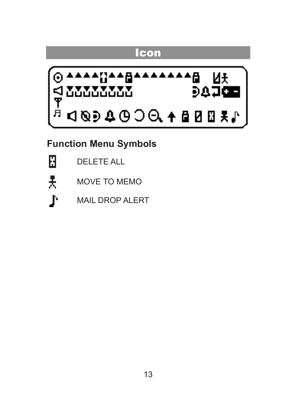# **Icon AAAAA** ਿਸ਼ ਸਮੇਂ<br>ਜ਼ਹੂਰ ਸ਼ MU MAND D 1004000 + 888 \*\*

**Function Menu Symbols**

Ы 톳

DELETE ALL

- MOVE TO MEMO
- Λ MAIL DROP ALERT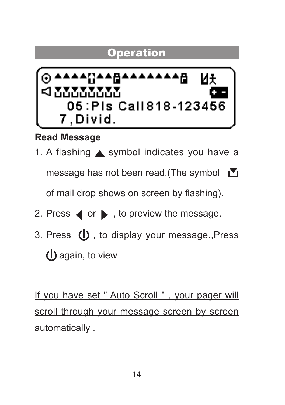

**Read Message**

1. A flashing  $\triangle$  symbol indicates you have a

message has not been read.(The symbol ■

of mail drop shows on screen by flashing).

- 2. Press  $\blacktriangleleft$  or  $\blacktriangleright$  , to preview the message.
- 3. Press (I), to display your message., Press (I) again, to view

If you have set " Auto Scroll " , your pager will scroll through your message screen by screen automatically.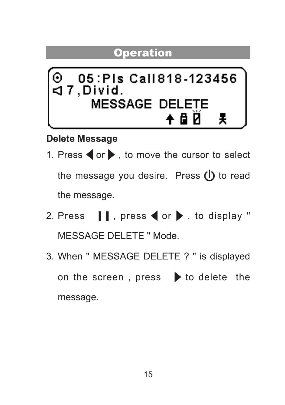

#### **Delete Message**

- 1. Press  $\blacktriangleleft$  or  $\blacktriangleright$  , to move the cursor to select the message you desire. Press  $(1)$  to read the message.
- 2. Press  $\blacksquare$ , press  $\blacktriangleleft$  or  $\blacktriangleright$ , to display " MESSAGE DELETE " Mode.
- 3. When " MESSAGE DELETE ? " is displayed on the screen, press  $\triangleright$  to delete the message.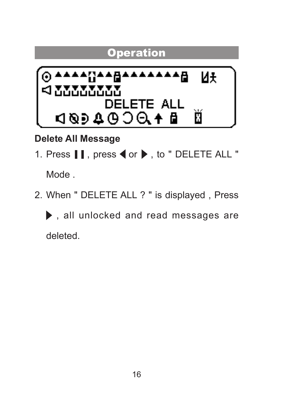

**Delete All Message** 

1. Press  $\blacksquare$  are not or  $\blacktriangleright$  , to " DELETE ALL "

Mode .

2. When " DELETE ALL ? " is displayed , Press

 $\blacktriangleright$  , all unlocked and read messages are deleted.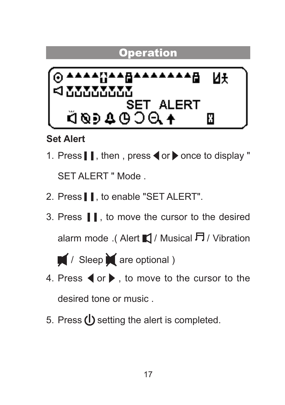

**Set Alert** 

- 1. Press  $\blacksquare$ , then , press  $\blacktriangleleft$  or  $\blacktriangleright$  once to display " SET ALERT " Mode
- 2. Press  $\blacksquare$  to enable "SET ALERT".
- 3 Press II. to move the cursor to the desired alarm mode .( Alert  $\blacksquare$  / Musical  $\blacksquare$  / Vibration



- 4. Press  $\blacktriangleleft$  or  $\blacktriangleright$  , to move to the cursor to the desired tone or music .
- 5. Press (1) setting the alert is completed.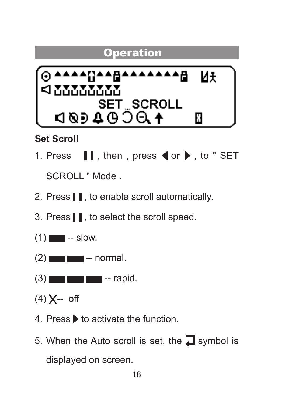

#### **Set Scroll**

- 1. Press  $\blacksquare$ , then , press  $\blacktriangleleft$  or  $\blacktriangleright$  , to " SET SCROLL " Mode .
- 2. Press  $\blacksquare$  to enable scroll automatically.
- 3. Press | | to select the scroll speed.
- $(1)$   $\blacksquare$  -- slow.
- $(2)$   $\blacksquare$  normal.
- $(3)$  -rapid.
- $(4) X off$
- 4. Press **b** to activate the function.
- 5. When the Auto scroll is set, the  $\Box$  symbol is displayed on screen.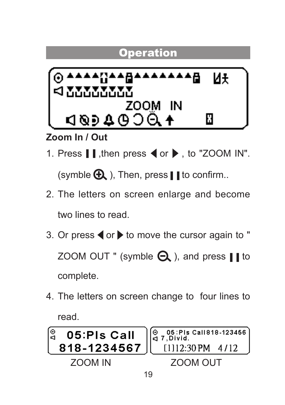

**Zoom In / Out**

1. Press  $\parallel$ , then press  $\blacktriangleleft$  or  $\blacktriangleright$ , to "ZOOM IN".

(symble  $\bigoplus$ ). Then, press II to confirm..

- 2. The letters on screen enlarge and become two lines to read.
- 3. Or press  $\blacktriangleleft$  or  $\blacktriangleright$  to move the cursor again to " ZOOM OUT " (symble  $\bigcap$ ), and press II to complete.
- 4. The letters on screen change to four lines to read.

| ဖြ             | $\left  \begin{matrix} 0 & 05 \\ 4 & 7 \end{matrix} \right $ , Divid. |  |
|----------------|-----------------------------------------------------------------------|--|
| 05:Pls Call    | 818-1234567   [1112:30 PM 4/12                                        |  |
| <b>700M IN</b> | <b>700M OUT</b>                                                       |  |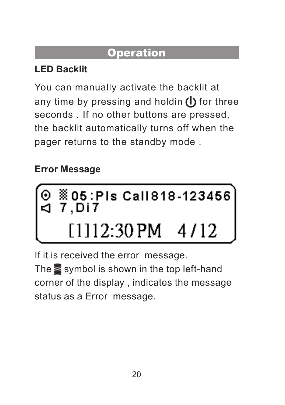### **LED Backlit**

You can manually activate the backlit at any time by pressing and holdin  $\left(\right)$  for three seconds . If no other buttons are pressed the backlit automatically turns off when the pager returns to the standby mode .

# **Error Message**

$$
\begin{array}{|c|c|c|}\n\hline\n\circ & 05:PIs\text{ CalI818-123456} \\
\hline\n& 7,Di7 \\
\hline\n& [1]12:30\text{PM} & 4/12\n\end{array}
$$

If it is received the error message. The ▓ symbol is shown in the top left-hand corner of the display , indicates the message status as a Error message.